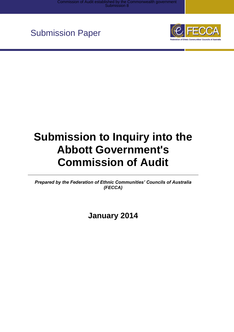

# **Submission to Inquiry into the Abbott Government's Commission of Audit**

*Prepared by the Federation of Ethnic Communities' Councils of Australia (FECCA)*

**January 2014**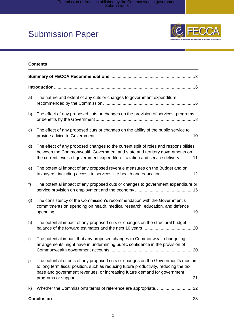

#### **Contents**

| a) | The nature and extent of any cuts or changes to government expenditure                                                                                                                                                                                |
|----|-------------------------------------------------------------------------------------------------------------------------------------------------------------------------------------------------------------------------------------------------------|
| b) | The effect of any proposed cuts or changes on the provision of services, programs                                                                                                                                                                     |
| c) | The effect of any proposed cuts or changes on the ability of the public service to                                                                                                                                                                    |
| d) | The effect of any proposed changes to the current split of roles and responsibilities<br>between the Commonwealth Government and state and territory governments on<br>the current levels of government expenditure, taxation and service delivery 11 |
| e) | The potential impact of any proposed revenue measures on the Budget and on<br>taxpayers, including access to services like health and education 12                                                                                                    |
| f  | The potential impact of any proposed cuts or changes to government expenditure or                                                                                                                                                                     |
| g) | The consistency of the Commission's recommendation with the Government's<br>commitments on spending on health, medical research, education, and defence                                                                                               |
| h) | The potential impact of any proposed cuts or changes on the structural budget                                                                                                                                                                         |
| i) | The potential impact that any proposed changes to Commonwealth budgeting<br>arrangements might have in undermining public confidence in the provision of                                                                                              |
| j) | The potential effects of any proposed cuts or changes on the Government's medium<br>to long term fiscal position, such as reducing future productivity, reducing the tax<br>base and government revenues, or increasing future demand for government  |
| k) |                                                                                                                                                                                                                                                       |
|    |                                                                                                                                                                                                                                                       |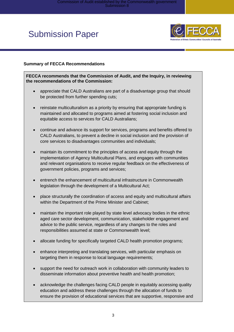

#### <span id="page-2-0"></span>**Summary of FECCA Recommendations**

**FECCA recommends that the Commission of Audit, and the Inquiry, in reviewing the recommendations of the Commission:**

- appreciate that CALD Australians are part of a disadvantage group that should be protected from further spending cuts;
- reinstate multiculturalism as a priority by ensuring that appropriate funding is maintained and allocated to programs aimed at fostering social inclusion and equitable access to services for CALD Australians;
- continue and advance its support for services, programs and benefits offered to CALD Australians, to prevent a decline in social inclusion and the provision of core services to disadvantages communities and individuals;
- maintain its commitment to the principles of access and equity through the implementation of Agency Multicultural Plans, and engages with communities and relevant organisations to receive regular feedback on the effectiveness of government policies, programs and services;
- entrench the enhancement of multicultural infrastructure in Commonwealth legislation through the development of a Multicultural Act;
- place structurally the coordination of access and equity and multicultural affairs within the Department of the Prime Minister and Cabinet;
- maintain the important role played by state level advocacy bodies in the ethnic aged care sector development, communication, stakeholder engagement and advice to the public service, regardless of any changes to the roles and responsibilities assumed at state or Commonwealth level;
- allocate funding for specifically targeted CALD health promotion programs;
- enhance interpreting and translating services, with particular emphasis on targeting them in response to local language requirements;
- support the need for outreach work in collaboration with community leaders to disseminate information about preventive health and health promotion;
- acknowledge the challenges facing CALD people in equitably accessing quality education and address these challenges through the allocation of funds to ensure the provision of educational services that are supportive, responsive and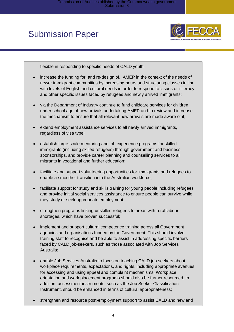

flexible in responding to specific needs of CALD youth;

- increase the funding for, and re-design of, AMEP in the context of the needs of newer immigrant communities by increasing hours and structuring classes in line with levels of English and cultural needs in order to respond to issues of illiteracy and other specific issues faced by refugees and newly arrived immigrants;
- via the Department of Industry continue to fund childcare services for children under school age of new arrivals undertaking AMEP and to review and increase the mechanism to ensure that all relevant new arrivals are made aware of it;
- extend employment assistance services to all newly arrived immigrants, regardless of visa type;
- establish large-scale mentoring and job experience programs for skilled immigrants (including skilled refugees) through government and business sponsorships, and provide career planning and counselling services to all migrants in vocational and further education;
- facilitate and support volunteering opportunities for immigrants and refugees to enable a smoother transition into the Australian workforce;
- facilitate support for study and skills training for young people including refugees and provide initial social services assistance to ensure people can survive while they study or seek appropriate employment;
- strengthen programs linking unskilled refugees to areas with rural labour shortages, which have proven successful;
- implement and support cultural competence training across all Government agencies and organisations funded by the Government. This should involve training staff to recognise and be able to assist in addressing specific barriers faced by CALD job-seekers, such as those associated with Job Services Australia;
- enable Job Services Australia to focus on teaching CALD job seekers about workplace requirements, expectations, and rights, including appropriate avenues for accessing and using appeal and complaint mechanisms. Workplace orientation and work placement programs should also be further resourced. In addition, assessment instruments, such as the Job Seeker Classification Instrument, should be enhanced in terms of cultural appropriateness;
- strengthen and resource post-employment support to assist CALD and new and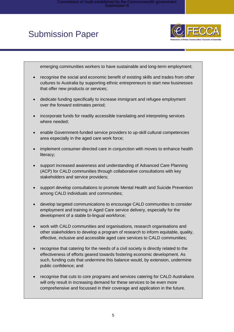

emerging communities workers to have sustainable and long-term employment;

- recognise the social and economic benefit of existing skills and trades from other cultures to Australia by supporting ethnic entrepreneurs to start new businesses that offer new products or services;
- dedicate funding specifically to increase immigrant and refugee employment over the forward estimates period;
- incorporate funds for readily accessible translating and interpreting services where needed;
- enable Government-funded service providers to up-skill cultural competencies area especially in the aged care work force;
- implement consumer-directed care in conjunction with moves to enhance health literacy;
- support increased awareness and understanding of Advanced Care Planning (ACP) for CALD communities through collaborative consultations with key stakeholders and service providers;
- support develop consultations to promote Mental Health and Suicide Prevention among CALD individuals and communities;
- develop targeted communications to encourage CALD communities to consider employment and training in Aged Care service delivery, especially for the development of a stable bi-lingual workforce;
- work with CALD communities and organisations, research organisations and other stakeholders to develop a program of research to inform equitable, quality, effective, inclusive and accessible aged care services to CALD communities;
- recognise that catering for the needs of a civil society is directly related to the effectiveness of efforts geared towards fostering economic development. As such, funding cuts that undermine this balance would, by extension, undermine public confidence; and
- recognise that cuts to core programs and services catering for CALD Australians will only result in increasing demand for these services to be even more comprehensive and focussed in their coverage and application in the future.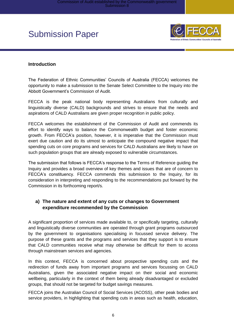

#### **Introduction**

The Federation of Ethnic Communities' Councils of Australia (FECCA) welcomes the opportunity to make a submission to the Senate Select Committee to the Inquiry into the Abbott Government's Commission of Audit.

FECCA is the peak national body representing Australians from culturally and linguistically diverse (CALD) backgrounds and strives to ensure that the needs and aspirations of CALD Australians are given proper recognition in public policy.

FECCA welcomes the establishment of the Commission of Audit and commends its effort to identify ways to balance the Commonwealth budget and foster economic growth. From FECCA's position, however, it is imperative that the Commission must exert due caution and do its utmost to anticipate the compound negative impact that spending cuts on core programs and services for CALD Australians are likely to have on such population groups that are already exposed to vulnerable circumstances.

The submission that follows is FECCA's response to the Terms of Reference guiding the Inquiry and provides a broad overview of key themes and issues that are of concern to FECCA's constituency. FECCA commends this submission to the Inquiry, for its consideration in interpreting and responding to the recommendations put forward by the Commission in its forthcoming report/s.

### <span id="page-5-0"></span>**a) The nature and extent of any cuts or changes to Government expenditure recommended by the Commission**

A significant proportion of services made available to, or specifically targeting, culturally and linguistically diverse communities are operated through grant programs outsourced by the government to organisations specialising in focussed service delivery. The purpose of these grants and the programs and services that they support is to ensure that CALD communities receive what may otherwise be difficult for them to access through mainstream services and agencies.

In this context, FECCA is concerned about prospective spending cuts and the redirection of funds away from important programs and services focussing on CALD Australians, given the associated negative impact on their social and economic wellbeing, particularly in the context of them being already disadvantaged or excluded groups, that should not be targeted for budget savings measures.

FECCA joins the Australian Council of Social Services (ACOSS), other peak bodies and service providers, in highlighting that spending cuts in areas such as health, education,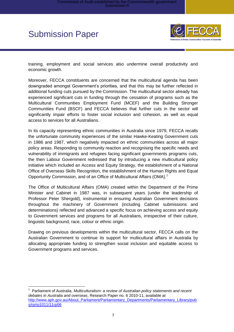$\overline{\phantom{a}}$ 



training, employment and social services also undermine overall productivity and economic growth.

Moreover, FECCA constituents are concerned that the multicultural agenda has been downgraded amongst Government's priorities, and that this may be further reflected in additional funding cuts pursued by the Commission. The multicultural sector already has experienced significant cuts in funding through the cessation of programs such as the Multicultural Communities Employment Fund (MCEF) and the Building Stronger Communities Fund (BSCF) and FECCA believes that further cuts in the sector will significantly impair efforts to foster social inclusion and cohesion, as well as equal access to services for all Australians.

In its capacity representing ethnic communities in Australia since 1979, FECCA recalls the unfortunate community experiences of the similar Hawke-Keating Government cuts in 1986 and 1987, which negatively impacted on ethnic communities across all major policy areas. Responding to community reaction and recognising the specific needs and vulnerability of immigrants and refugees facing significant governments programs cuts, the then Labour Government redressed that by introducing a new multicultural policy initiative which included an Access and Equity Strategy, the establishment of a National Office of Overseas Skills Recognition, the establishment of the Human Rights and Equal Opportunity Commission, and of an Office of Multicultural Affairs (OMA).<sup>1</sup>

The Office of Multicultural Affairs (OMA) created within the Department of the Prime Minister and Cabinet in 1987 was, in subsequent years (under the leadership of Professor Peter Shergold), instrumental in ensuring Australian Government decisions throughout the machinery of Government (including Cabinet submissions and determinations) reflected and advanced a specific focus on achieving access and equity to Government services and programs for all Australians, irrespective of their culture, linguistic background, race, colour or ethnic origin.

Drawing on previous developments within the multicultural sector, FECCA calls on the Australian Government to continue its support for multicultural affairs in Australia by allocating appropriate funding to strengthen social inclusion and equitable access to Government programs and services.

<sup>1</sup> Parliament of Australia, *Multiculturalism: a review of Australian policy statements and recent debates in Australia and overseas*, Research Paper no. 6 2010-11, available at [http://www.aph.gov.au/About\\_Parliament/Parliamentary\\_Departments/Parliamentary\\_Library/pub](http://www.aph.gov.au/About_Parliament/Parliamentary_Departments/Parliamentary_Library/pubs/rp/rp1011/11rp06) [s/rp/rp1011/11rp06](http://www.aph.gov.au/About_Parliament/Parliamentary_Departments/Parliamentary_Library/pubs/rp/rp1011/11rp06)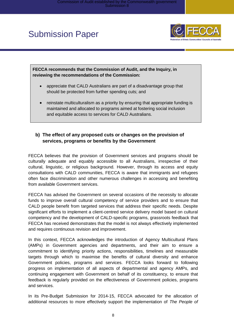

**FECCA recommends that the Commission of Audit, and the Inquiry, in reviewing the recommendations of the Commission:**

- appreciate that CALD Australians are part of a disadvantage group that should be protected from further spending cuts; and
- reinstate multiculturalism as a priority by ensuring that appropriate funding is maintained and allocated to programs aimed at fostering social inclusion and equitable access to services for CALD Australians.

### <span id="page-7-0"></span>**b) The effect of any proposed cuts or changes on the provision of services, programs or benefits by the Government**

FECCA believes that the provision of Government services and programs should be culturally adequate and equably accessible to all Australians, irrespective of their cultural, linguistic, or religious background. However, through its access and equity consultations with CALD communities, FECCA is aware that immigrants and refugees often face discrimination and other numerous challenges in accessing and benefiting from available Government services.

FECCA has advised the Government on several occasions of the necessity to allocate funds to improve overall cultural competency of service providers and to ensure that CALD people benefit from targeted services that address their specific needs. Despite significant efforts to implement a client-centred service delivery model based on cultural competency and the development of CALD-specific programs, grassroots feedback that FECCA has received demonstrates that the model is not always effectively implemented and requires continuous revision and improvement.

In this context, FECCA acknowledges the introduction of Agency Multicultural Plans (AMPs) in Government agencies and departments, and their aim to ensure a commitment to identifying priority actions, responsibilities, timelines and measurable targets through which to maximise the benefits of cultural diversity and enhance Government policies, programs and services. FECCA looks forward to following progress on implementation of all aspects of departmental and agency AMPs, and continuing engagement with Government on behalf of its constituency, to ensure that feedback is regularly provided on the effectiveness of Government policies, programs and services.

In its Pre-Budget Submission for 2014-15, FECCA advocated for the allocation of additional resources to more effectively support the implementation of *The People of*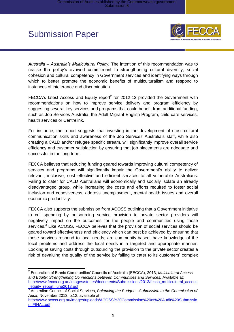

*Australia – Australia's Multicultural Policy.* The intention of this recommendation was to realise the policy's avowed commitment to strengthening cultural diversity, social cohesion and cultural competency in Government services and identifying ways through which to better promote the economic benefits of multiculturalism and respond to instances of intolerance and discrimination.

FECCA's latest Access and Equity report<sup>2</sup> for 2012-13 provided the Government with recommendations on how to improve service delivery and program efficiency by suggesting several key services and programs that could benefit from additional funding, such as Job Services Australia, the Adult Migrant English Program, child care services, health services or Centrelink.

For instance, the report suggests that investing in the development of cross-cultural communication skills and awareness of the Job Services Australia's staff, while also creating a CALD and/or refugee specific stream, will significantly improve overall service efficiency and customer satisfaction by ensuring that job placements are adequate and successful in the long term.

FECCA believes that reducing funding geared towards improving cultural competency of services and programs will significantly impair the Government's ability to deliver relevant, inclusive, cost effective and efficient services to all vulnerable Australians. Failing to cater for CALD Australians will economically and socially isolate an already disadvantaged group, while increasing the costs and efforts required to foster social inclusion and cohesiveness, address unemployment, mental health issues and overall economic productivity.

FECCA also supports the submission from ACOSS outlining that a Government initiative to cut spending by outsourcing service provision to private sector providers will negatively impact on the outcomes for the people and communities using those services.<sup>3</sup> Like ACOSS, FECCA believes that the provision of social services should be geared toward effectiveness and efficiency which can best be achieved by ensuring that those services respond to local needs, are community-based, have knowledge of the local problems and address the local needs in a targeted and appropriate manner. Looking at saving costs through outsourcing the provision to the private sector creates a risk of devaluing the quality of the service by failing to cater to its customers' complex

 2 Federation of Ethnic Communities' Councils of Australia (FECCA), 2013, *Multicultural Access and Equity: Strengthening Connections between Communities and Services.* Available at: [http://www.fecca.org.au/images/stories/documents/Submissions/2013/fecca\\_multicultural\\_access](http://www.fecca.org.au/images/stories/documents/Submissions/2013/fecca_multicultural_access_equity_report_june2013.pdf) [\\_equity\\_report\\_june2013.pdf](http://www.fecca.org.au/images/stories/documents/Submissions/2013/fecca_multicultural_access_equity_report_june2013.pdf) 

<sup>3</sup> Australian Council of Social Services, *Balancing the Budget - Submission to the Commission of Audit*, November 2013, p.12, available at

[http://www.acoss.org.au/images/uploads/ACOSS%20Commission%20of%20Audit%20Submissio](http://www.acoss.org.au/images/uploads/ACOSS%20Commission%20of%20Audit%20Submission_FINAL.pdf) [n\\_FINAL.pdf](http://www.acoss.org.au/images/uploads/ACOSS%20Commission%20of%20Audit%20Submission_FINAL.pdf)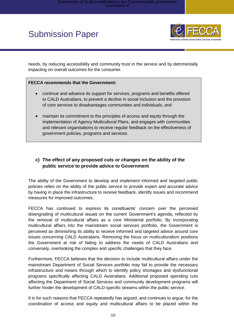

needs, by reducing accessibility and community trust in the service and by detrimentally impacting on overall outcomes for the consumer.

#### **FECCA recommends that the Government:**

- continue and advance its support for services, programs and benefits offered to CALD Australians, to prevent a decline in social inclusion and the provision of core services to disadvantages communities and individuals; and
- maintain its commitment to the principles of access and equity through the implementation of Agency Multicultural Plans, and engages with communities and relevant organisations to receive regular feedback on the effectiveness of government policies, programs and services.

### <span id="page-9-0"></span>**c) The effect of any proposed cuts or changes on the ability of the public service to provide advice to Government**

The ability of the Government to develop and implement informed and targeted public policies relies on the ability of the public service to provide expert and accurate advice by having in place the infrastructure to receive feedback, identify issues and recommend measures for improved outcomes.

FECCA has continued to express its constituents' concern over the perceived downgrading of multicultural issues on the current Government's agenda, reflected by the removal of multicultural affairs as a core Ministerial portfolio. By incorporating multicultural affairs into the mainstream social services portfolio, the Government is perceived as diminishing its ability to receive informed and targeted advice around core issues concerning CALD Australians. Removing the focus on multiculturalism positions the Government at risk of failing to address the needs of CALD Australians and conversely, overlooking the complex and specific challenges that they face.

Furthermore, FECCA believes that the decision to include multicultural affairs under the mainstream Department of Social Services portfolio may fail to provide the necessary infrastructure and means through which to identify policy shortages and dysfunctional programs specifically affecting CALD Australians. Additional proposed spending cuts affecting the Department of Social Services and community development programs will further hinder the development of CALD-specific streams within the public service.

It is for such reasons that FECCA repeatedly has argued, and continues to argue, for the coordination of access and equity and multicultural affairs to be placed within the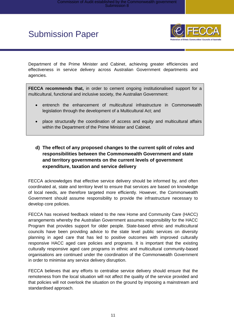

Department of the Prime Minister and Cabinet, achieving greater efficiencies and effectiveness in service delivery across Australian Government departments and agencies.

**FECCA recommends that,** in order to cement ongoing institutionalised support for a multicultural, functional and inclusive society, the Australian Government:

- entrench the enhancement of multicultural infrastructure in Commonwealth legislation through the development of a Multicultural Act; and
- place structurally the coordination of access and equity and multicultural affairs within the Department of the Prime Minister and Cabinet.
- <span id="page-10-0"></span>**d) The effect of any proposed changes to the current split of roles and responsibilities between the Commonwealth Government and state and territory governments on the current levels of government expenditure, taxation and service delivery**

FECCA acknowledges that effective service delivery should be informed by, and often coordinated at, state and territory level to ensure that services are based on knowledge of local needs, are therefore targeted more efficiently. However, the Commonwealth Government should assume responsibility to provide the infrastructure necessary to develop core policies.

FECCA has received feedback related to the new Home and Community Care (HACC) arrangements whereby the Australian Government assumes responsibility for the HACC Program that provides support for older people. State-based ethnic and multicultural councils have been providing advice to the state level public services on diversity planning in aged care that has led to positive outcomes with improved culturally responsive HACC aged care policies and programs. It is important that the existing culturally responsive aged care programs in ethnic and multicultural community-based organisations are continued under the coordination of the Commonwealth Government in order to minimise any service delivery disruption.

FECCA believes that any efforts to centralise service delivery should ensure that the remoteness from the local situation will not affect the quality of the service provided and that policies will not overlook the situation on the ground by imposing a mainstream and standardised approach.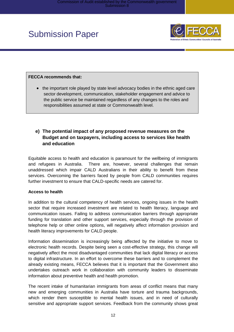

#### **FECCA recommends that:**

• the important role played by state level advocacy bodies in the ethnic aged care sector development, communication, stakeholder engagement and advice to the public service be maintained regardless of any changes to the roles and responsibilities assumed at state or Commonwealth level.

### <span id="page-11-0"></span>**e) The potential impact of any proposed revenue measures on the Budget and on taxpayers, including access to services like health and education**

Equitable access to health and education is paramount for the wellbeing of immigrants and refugees in Australia. There are, however, several challenges that remain unaddressed which impair CALD Australians in their ability to benefit from these services. Overcoming the barriers faced by people from CALD communities requires further investment to ensure that CALD-specific needs are catered for.

#### **Access to health**

In addition to the cultural competency of health services, ongoing issues in the health sector that require increased investment are related to health literacy, language and communication issues. Failing to address communication barriers through appropriate funding for translation and other support services, especially through the provision of telephone help or other online options, will negatively affect information provision and health literacy improvements for CALD people.

Information dissemination is increasingly being affected by the initiative to move to electronic health records. Despite being seen a cost-effective strategy, this change will negatively affect the most disadvantaged communities that lack digital literacy or access to digital infrastructure. In an effort to overcome these barriers and to complement the already existing means, FECCA believes that it is important that the Government also undertakes outreach work in collaboration with community leaders to disseminate information about preventive health and health promotion.

The recent intake of humanitarian immigrants from areas of conflict means that many new and emerging communities in Australia have torture and trauma backgrounds, which render them susceptible to mental health issues, and in need of culturally sensitive and appropriate support services. Feedback from the community shows great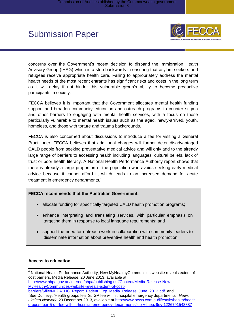

concerns over the Government's recent decision to disband the Immigration Health Advisory Group (IHAG) which is a step backwards in ensuring that asylum seekers and refugees receive appropriate health care. Failing to appropriately address the mental health needs of the most recent entrants has significant risks and costs in the long term as it will delay if not hinder this vulnerable group's ability to become productive participants in society.

FECCA believes it is important that the Government allocates mental health funding support and broaden community education and outreach programs to counter stigma and other barriers to engaging with mental health services, with a focus on those particularly vulnerable to mental health issues such as the aged, newly-arrived, youth, homeless, and those with torture and trauma backgrounds.

FECCA is also concerned about discussions to introduce a fee for visiting a General Practitioner. FECCA believes that additional charges will further deter disadvantaged CALD people from seeking preventative medical advice and will only add to the already large range of barriers to accessing health including languages, cultural beliefs, lack of trust or poor health literacy. A National Health Performance Authority report shows that there is already a large proportion of the population who avoids seeking early medical advice because it cannot afford it, which leads to an increased demand for acute treatment in emergency departments.<sup>4</sup>

#### **FECCA recommends that the Australian Government:**

- allocate funding for specifically targeted CALD health promotion programs;
- enhance interpreting and translating services, with particular emphasis on targeting them in response to local language requirements; and
- support the need for outreach work in collaboration with community leaders to disseminate information about preventive health and health promotion.

#### **Access to education**

  $4$  National Health Performance Authority, New MyHealthyCommunities website reveals extent of cost barriers, Media Release, 20 June 2013, available at [http://www.nhpa.gov.au/internet/nhpa/publishing.nsf/Content/Media-Release-New-](http://www.nhpa.gov.au/internet/nhpa/publishing.nsf/Content/Media-Release-New-MyHealthyCommunities-website-reveals-extent-of-cost-barriers/$file/NHPA_HC_Report_Patient_Exp_Media_Release_June_2013.pdf)[MyHealthyCommunities-website-reveals-extent-of-cost-](http://www.nhpa.gov.au/internet/nhpa/publishing.nsf/Content/Media-Release-New-MyHealthyCommunities-website-reveals-extent-of-cost-barriers/$file/NHPA_HC_Report_Patient_Exp_Media_Release_June_2013.pdf)

[barriers/\\$file/NHPA\\_HC\\_Report\\_Patient\\_Exp\\_Media\\_Release\\_June\\_2013.pdf](http://www.nhpa.gov.au/internet/nhpa/publishing.nsf/Content/Media-Release-New-MyHealthyCommunities-website-reveals-extent-of-cost-barriers/$file/NHPA_HC_Report_Patient_Exp_Media_Release_June_2013.pdf) and Sue Dunlevy, 'Health groups fear \$5 GP fee will hit hospital emergency departments', *News Limited Network*, 29 December 2013, available at [http://www.news.com.au/lifestyle/health/health](http://www.news.com.au/lifestyle/health/health-groups-fear-5-gp-fee-will-hit-hospital-emergency-departments/story-fneuz9ev-1226791543887)[groups-fear-5-gp-fee-will-hit-hospital-emergency-departments/story-fneuz9ev-1226791543887](http://www.news.com.au/lifestyle/health/health-groups-fear-5-gp-fee-will-hit-hospital-emergency-departments/story-fneuz9ev-1226791543887)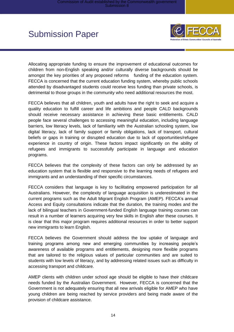

Allocating appropriate funding to ensure the improvement of educational outcomes for children from non-English speaking and/or culturally diverse backgrounds should be amongst the key priorities of any proposed reforms funding of the education system. FECCA is concerned that the current education funding system, whereby public schools attended by disadvantaged students could receive less funding than private schools, is detrimental to those groups in the community who need additional resources the most.

FECCA believes that all children, youth and adults have the right to seek and acquire a quality education to fulfill career and life ambitions and people CALD backgrounds should receive necessary assistance in achieving these basic entitlements. CALD people face several challenges to accessing meaningful education, including language barriers, low literacy levels, lack of familiarity with the Australian schooling system, low digital literacy, lack of family support or family obligations, lack of transport, cultural beliefs or gaps in training or disrupted education due to lack of opportunities/refugee experience in country of origin. These factors impact significantly on the ability of refugees and immigrants to successfully participate in language and education programs.

FECCA believes that the complexity of these factors can only be addressed by an education system that is flexible and responsive to the learning needs of refugees and immigrants and an understanding of their specific circumstances.

FECCA considers that language is key to facilitating empowered participation for all Australians. However, the complexity of language acquisition is underestimated in the current programs such as the Adult Migrant English Program (AMEP). FECCA's annual Access and Equity consultations indicate that the duration, the training modes and the lack of bilingual teachers in Government-funded English language training courses can result in a number of learners acquiring very few skills in English after these courses. It is clear that this major program requires additional resources in order to better support new immigrants to learn English.

FECCA believes the Government should address the low uptake of language and training programs among new and emerging communities by increasing people's awareness of available programs and entitlements, designing more flexible programs that are tailored to the religious values of particular communities and are suited to students with low levels of literacy, and by addressing related issues such as difficulty in accessing transport and childcare.

AMEP clients with children under school age should be eligible to have their childcare needs funded by the Australian Government. However, FECCA is concerned that the Government is not adequately ensuring that all new arrivals eligible for AMEP who have young children are being reached by service providers and being made aware of the provision of childcare assistance.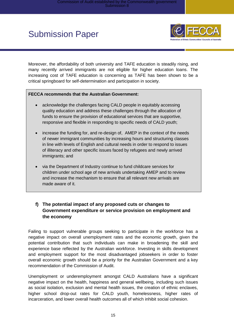

Moreover, the affordability of both university and TAFE education is steadily rising, and many recently arrived immigrants are not eligible for higher education loans. The increasing cost of TAFE education is concerning as TAFE has been shown to be a critical springboard for self-determination and participation in society.

#### **FECCA recommends that the Australian Government:**

- acknowledge the challenges facing CALD people in equitably accessing quality education and address these challenges through the allocation of funds to ensure the provision of educational services that are supportive, responsive and flexible in responding to specific needs of CALD youth;
- increase the funding for, and re-design of, AMEP in the context of the needs of newer immigrant communities by increasing hours and structuring classes in line with levels of English and cultural needs in order to respond to issues of illiteracy and other specific issues faced by refugees and newly arrived immigrants; and
- via the Department of Industry continue to fund childcare services for children under school age of new arrivals undertaking AMEP and to review and increase the mechanism to ensure that all relevant new arrivals are made aware of it.

### <span id="page-14-0"></span>**f) The potential impact of any proposed cuts or changes to Government expenditure or service provision on employment and the economy**

Failing to support vulnerable groups seeking to participate in the workforce has a negative impact on overall unemployment rates and the economic growth, given the potential contribution that such individuals can make in broadening the skill and experience base reflected by the Australian workforce. Investing in skills development and employment support for the most disadvantaged jobseekers in order to foster overall economic growth should be a priority for the Australian Government and a key recommendation of the Commission of Audit.

Unemployment or underemployment amongst CALD Australians have a significant negative impact on the health, happiness and general wellbeing, including such issues as social isolation, exclusion and mental health issues, the creation of ethnic enclaves, higher school drop-out rates for CALD youth, homelessness, higher rates of incarceration, and lower overall health outcomes all of which inhibit social cohesion.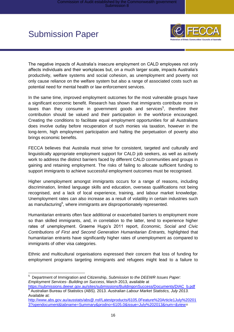

The negative impacts of Australia's insecure employment on CALD employees not only affects individuals and their workplaces but, on a much larger scale, impacts Australia's productivity, welfare systems and social cohesion, as unemployment and poverty not only cause reliance on the welfare system but also a range of associated costs such as potential need for mental health or law enforcement services.

In the same time, improved employment outcomes for the most vulnerable groups have a significant economic benefit. Research has shown that immigrants contribute more in taxes than they consume in government goods and services<sup>5</sup>, therefore their contribution should be valued and their participation in the workforce encouraged. Creating the conditions to facilitate equal employment opportunities for all Australians does involve outlay before recuperation of such monies via taxation, however in the long-term, high employment participation and halting the perpetuation of poverty also brings economic benefits.

FECCA believes that Australia must strive for consistent, targeted and culturally and linguistically appropriate employment support for CALD job seekers, as well as actively work to address the distinct barriers faced by different CALD communities and groups in gaining and retaining employment. The risks of failing to allocate sufficient funding to support immigrants to achieve successful employment outcomes must be recognised.

Higher unemployment amongst immigrants occurs for a range of reasons, including discrimination, limited language skills and education, overseas qualifications not being recognised, and a lack of local experience, training, and labour market knowledge. Unemployment rates can also increase as a result of volatility in certain industries such as manufacturing $^6$ , where immigrants are disproportionately represented.

Humanitarian entrants often face additional or exacerbated barriers to employment more so than skilled immigrants, and, in correlation to the latter, tend to experience higher rates of unemployment. Graeme Hugo's 2011 report, *Economic, Social and Civic Contributions of First and Second Generation Humanitarian Entrants,* highlighted that humanitarian entrants have significantly higher rates of unemployment as compared to immigrants of other visa categories.

Ethnic and multicultural organisations expressed their concern that loss of funding for employment programs targeting immigrants and refugees might lead to a failure to

<sup>—&</sup>lt;br>5 Department of Immigration and Citizenship, *Submission to the DEEWR Issues Paper: Employment Services- Building on Success*, March 2013, available at

[https://submissions.deewr.gov.au/sites/submissions/BuildingonSuccess/Documents/DIAC\\_b.pdf](https://submissions.deewr.gov.au/sites/submissions/BuildingonSuccess/Documents/DIAC_b.pdf) 6 Australian Bureau of Statistics (ABS). 2013. *Australian Labour Market Statistics, July 2013.*  Available at:

[http://www.abs.gov.au/ausstats/abs@.nsf/Latestproducts/6105.0Feature%20Article1July%20201](http://www.abs.gov.au/ausstats/abs@.nsf/Latestproducts/6105.0Feature%20Article1July%202013?opendocument&tabname=Summary&prodno=6105.0&issue=July%202013&num=&view) [3?opendocument&tabname=Summary&prodno=6105.0&issue=July%202013&num=&view=](http://www.abs.gov.au/ausstats/abs@.nsf/Latestproducts/6105.0Feature%20Article1July%202013?opendocument&tabname=Summary&prodno=6105.0&issue=July%202013&num=&view)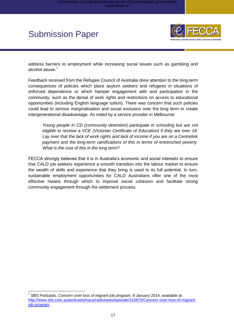

address barriers to employment while increasing social issues such as gambling and alcohol abuse.<sup>7</sup>

Feedback received from the Refugee Council of Australia drew attention to the long-term consequences of policies which place asylum seekers and refugees in situations of enforced dependence or which hamper engagement with and participation in the community, such as the denial of work rights and restrictions on access to educational opportunities (including English language tuition). There was concern that such policies could lead to serious marginalisation and social exclusion over the long term or create intergenerational disadvantage. As noted by a service provider in Melbourne:

*Young people in CD (community detention) participate in schooling but are not eligible to receive a VCE (Victorian Certificate of Education) if they are over 18. Lay over that the lack of work rights and lack of income if you are on a Centrelink payment and the long-term ramifications of this in terms of entrenched poverty. What is the cost of this in the long term?*

FECCA strongly believes that it is in Australia's economic and social interests to ensure that CALD job seekers experience a smooth transition into the labour market to ensure the wealth of skills and experience that they bring is used to its full potential. In turn, sustainable employment opportunities for CALD Australians offer one of the most effective means through which to improve social cohesion and facilitate strong community engagement through the settlement process.

 $\overline{a}$ 7 SBS Podcasts, *Concern over loss of migrant job program*, 8 January 2014, available at [http://www.sbs.com.au/podcasts/naca/radionews/episode/310870/Concern-over-loss-of-migrant](http://www.sbs.com.au/podcasts/naca/radionews/episode/310870/Concern-over-loss-of-migrant-job-program)[job-program](http://www.sbs.com.au/podcasts/naca/radionews/episode/310870/Concern-over-loss-of-migrant-job-program)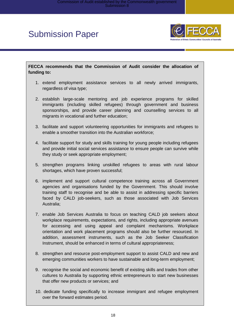

**FECCA recommends that the Commission of Audit consider the allocation of funding to:**

- 1. extend employment assistance services to all newly arrived immigrants, regardless of visa type;
- 2. establish large-scale mentoring and job experience programs for skilled immigrants (including skilled refugees) through government and business sponsorships, and provide career planning and counselling services to all migrants in vocational and further education;
- 3. facilitate and support volunteering opportunities for immigrants and refugees to enable a smoother transition into the Australian workforce;
- 4. facilitate support for study and skills training for young people including refugees and provide initial social services assistance to ensure people can survive while they study or seek appropriate employment;
- 5. strengthen programs linking unskilled refugees to areas with rural labour shortages, which have proven successful;
- 6. implement and support cultural competence training across all Government agencies and organisations funded by the Government. This should involve training staff to recognise and be able to assist in addressing specific barriers faced by CALD job-seekers, such as those associated with Job Services Australia;
- 7. enable Job Services Australia to focus on teaching CALD job seekers about workplace requirements, expectations, and rights, including appropriate avenues for accessing and using appeal and complaint mechanisms. Workplace orientation and work placement programs should also be further resourced. In addition, assessment instruments, such as the Job Seeker Classification Instrument, should be enhanced in terms of cultural appropriateness;
- 8. strengthen and resource post-employment support to assist CALD and new and emerging communities workers to have sustainable and long-term employment;
- 9. recognise the social and economic benefit of existing skills and trades from other cultures to Australia by supporting ethnic entrepreneurs to start new businesses that offer new products or services; and
- 10. dedicate funding specifically to increase immigrant and refugee employment over the forward estimates period.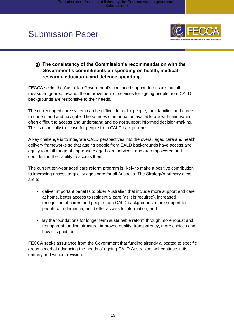

### <span id="page-18-0"></span>**g) The consistency of the Commission's recommendation with the Government's commitments on spending on health, medical research, education, and defence spending**

FECCA seeks the Australian Government's continued support to ensure that all measured geared towards the improvement of services for ageing people from CALD backgrounds are responsive to their needs.

The current aged care system can be difficult for older people, their families and carers to understand and navigate. The sources of information available are wide and varied, often difficult to access and understand and do not support informed decision-making. This is especially the case for people from CALD backgrounds.

A key challenge is to integrate CALD perspectives into the overall aged care and health delivery frameworks so that ageing people from CALD backgrounds have access and equity to a full range of appropriate aged care services, and are empowered and confident in their ability to access them.

The current ten-year aged care reform program is likely to make a positive contribution to improving access to quality ages care for all Australia. The Strategy's primary aims are to:

- deliver important benefits to older Australian that include more support and care at home, better access to residential care (as it is required), increased recognition of carers and people from CALD backgrounds, more support for people with dementia, and better access to information; and
- lay the foundations for longer term sustainable reform through more robust and transparent funding structure, improved quality, transparency, more choices and how it is paid for.

FECCA seeks assurance from the Government that funding already allocated to specific areas aimed at advancing the needs of ageing CALD Australians will continue in its entirety and without revision.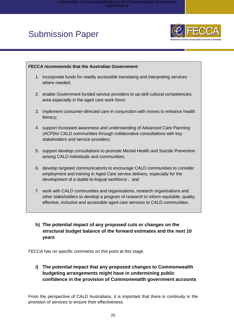

### **FECCA recommends that the Australian Government:** 1. incorporate funds for readily accessible translating and interpreting services where needed; 2. enable Government-funded service providers to up-skill cultural competencies area especially in the aged care work force; 3. implement consumer-directed care in conjunction with moves to enhance health literacy; 4. support increased awareness and understanding of Advanced Care Planning (ACP)for CALD communities through collaborative consultations with key stakeholders and service providers; 5. support develop consultations to promote Mental Health and Suicide Prevention among CALD individuals and communities; 6. develop targeted communications to encourage CALD communities to consider employment and training in Aged Care service delivery, especially for the development of a stable bi-lingual workforce ; and

7. work with CALD communities and organisations, research organisations and other stakeholders to develop a program of research to inform equitable, quality, effective, inclusive and accessible aged care services to CALD communities.

### <span id="page-19-0"></span>**h) The potential impact of any proposed cuts or changes on the structural budget balance of the forward estimates and the next 10 years**

<span id="page-19-1"></span>FECCA has no specific comments on this point at this stage.

**i) The potential impact that any proposed changes to Commonwealth budgeting arrangements might have in undermining public confidence in the provision of Commonwealth government accounts**

From the perspective of CALD Australians, it is important that there is continuity in the provision of services to ensure their effectiveness.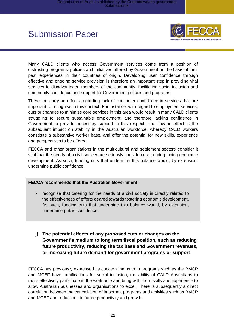

Many CALD clients who access Government services come from a position of distrusting programs, policies and initiatives offered by Government on the basis of their past experiences in their countries of origin. Developing user confidence through effective and ongoing service provision is therefore an important step in providing vital services to disadvantaged members of the community, facilitating social inclusion and community confidence and support for Government policies and programs.

There are carry-on effects regarding lack of consumer confidence in services that are important to recognise in this context. For instance, with regard to employment services, cuts or changes to minimise core services in this area would result in many CALD clients struggling to secure sustainable employment, and therefore lacking confidence in Government to provide necessary support in this respect. The flow-on effect is the subsequent impact on stability in the Australian workforce, whereby CALD workers constitute a substantive worker base, and offer the potential for new skills, experience and perspectives to be offered.

FECCA and other organisations in the multicultural and settlement sectors consider it vital that the needs of a civil society are seriously considered as underpinning economic development. As such, funding cuts that undermine this balance would, by extension, undermine public confidence.

#### **FECCA recommends that the Australian Government:**

- recognise that catering for the needs of a civil society is directly related to the effectiveness of efforts geared towards fostering economic development. As such, funding cuts that undermine this balance would, by extension, undermine public confidence.
- <span id="page-20-0"></span>**j) The potential effects of any proposed cuts or changes on the Government's medium to long term fiscal position, such as reducing future productivity, reducing the tax base and Government revenues, or increasing future demand for government programs or support**

FECCA has previously expressed its concern that cuts in programs such as the BMCP and MCEF have ramifications for social inclusion, the ability of CALD Australians to more effectively participate in the workforce and bring with them skills and experience to allow Australian businesses and organisations to excel. There is subsequently a direct correlation between the cancellation of important programs and activities such as BMCP and MCEF and reductions to future productivity and growth.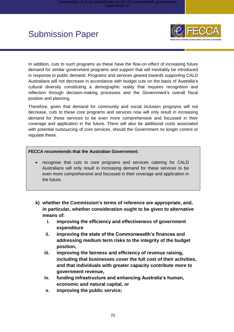

In addition, cuts to such programs as these have the flow-on effect of increasing future demand for similar government programs and support that will inevitably be introduced in response to public demand. Programs and services geared towards supporting CALD Australians will not decrease in accordance with budget cuts on the basis of Australia's cultural diversity constituting a demographic reality that requires recognition and reflection through decision-making processes and the Government's overall fiscal position and planning.

Therefore, given that demand for community and social inclusion programs will not decrease, cuts to these core programs and services now will only result in increasing demand for these services to be even more comprehensive and focussed in their coverage and application in the future. There will also be additional costs associated with potential outsourcing of core services, should the Government no longer control or regulate these.

#### **FECCA recommends that the Australian Government:**

- recognise that cuts to core programs and services catering for CALD Australians will only result in increasing demand for these services to be even more comprehensive and focussed in their coverage and application in the future.
- <span id="page-21-0"></span>**k) whether the Commission's terms of reference are appropriate, and, in particular, whether consideration ought to be given to alternative means of:**
	- **i. improving the efficiency and effectiveness of government expenditure**
	- **ii. improving the state of the Commonwealth's finances and addressing medium term risks to the integrity of the budget position,**
	- **iii. improving the fairness and efficiency of revenue raising, including that businesses cover the full cost of their activities, and that individuals with greater capacity contribute more to government revenue,**
	- **iv. funding infrastructure and enhancing Australia's human, economic and natural capital, or**
	- **v. improving the public service;**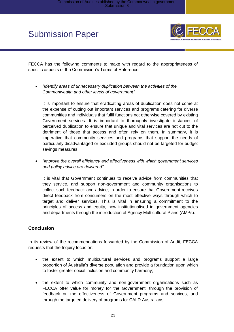

FECCA has the following comments to make with regard to the appropriateness of specific aspects of the Commission's Terms of Reference:

 *"identify areas of unnecessary duplication between the activities of the Commonwealth and other levels of government"*

It is important to ensure that eradicating areas of duplication does not come at the expense of cutting out important services and programs catering for diverse communities and individuals that fulfil functions not otherwise covered by existing Government services. It is important to thoroughly investigate instances of perceived duplication to ensure that unique and vital services are not cut to the detriment of those that access and often rely on them. In summary, it is imperative that community services and programs that support the needs of particularly disadvantaged or excluded groups should not be targeted for budget savings measures.

 *"improve the overall efficiency and effectiveness with which government services and policy advice are delivered"*

It is vital that Government continues to receive advice from communities that they service, and support non-government and community organisations to collect such feedback and advice, in order to ensure that Government receives direct feedback from consumers on the most effective ways through which to target and deliver services. This is vital in ensuring a commitment to the principles of access and equity, now institutionalised in government agencies and departments through the introduction of Agency Multicultural Plans (AMPs).

### <span id="page-22-0"></span>**Conclusion**

In its review of the recommendations forwarded by the Commission of Audit, FECCA requests that the Inquiry focus on:

- the extent to which multicultural services and programs support a large proportion of Australia's diverse population and provide a foundation upon which to foster greater social inclusion and community harmony;
- the extent to which community and non-government organisations such as FECCA offer value for money for the Government, through the provision of feedback on the effectiveness of Government programs and services, and through the targeted delivery of programs for CALD Australians;